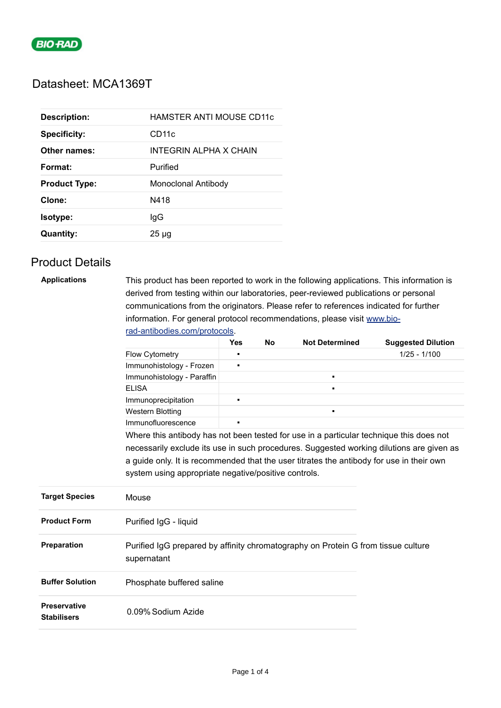

# Datasheet: MCA1369T

| <b>Description:</b>  | HAMSTER ANTI MOUSE CD11c |
|----------------------|--------------------------|
| <b>Specificity:</b>  | CD <sub>11</sub> c       |
| Other names:         | INTEGRIN ALPHA X CHAIN   |
| Format:              | Purified                 |
| <b>Product Type:</b> | Monoclonal Antibody      |
| Clone:               | N418                     |
| <b>Isotype:</b>      | lgG                      |
| <b>Quantity:</b>     | $25 \mu g$               |

## Product Details

| <b>Applications</b> | This product has been reported to work in the following applications. This information is |
|---------------------|-------------------------------------------------------------------------------------------|
|                     | derived from testing within our laboratories, peer-reviewed publications or personal      |
|                     | communications from the originators. Please refer to references indicated for further     |
|                     | information. For general protocol recommendations, please visit www.bio-                  |
|                     | rad-antibodies.com/protocols.                                                             |

|                                           |                                                                                                  | <b>Yes</b>     | <b>No</b> | <b>Not Determined</b> | <b>Suggested Dilution</b> |  |
|-------------------------------------------|--------------------------------------------------------------------------------------------------|----------------|-----------|-----------------------|---------------------------|--|
|                                           | <b>Flow Cytometry</b>                                                                            | $\blacksquare$ |           |                       | $1/25 - 1/100$            |  |
|                                           | Immunohistology - Frozen                                                                         | п              |           |                       |                           |  |
|                                           | Immunohistology - Paraffin                                                                       |                |           | $\blacksquare$        |                           |  |
|                                           | <b>ELISA</b>                                                                                     |                |           | $\blacksquare$        |                           |  |
|                                           | Immunoprecipitation                                                                              | $\blacksquare$ |           |                       |                           |  |
|                                           | <b>Western Blotting</b>                                                                          |                |           | $\blacksquare$        |                           |  |
|                                           | Immunofluorescence                                                                               | $\blacksquare$ |           |                       |                           |  |
|                                           | Where this antibody has not been tested for use in a particular technique this does not          |                |           |                       |                           |  |
|                                           | necessarily exclude its use in such procedures. Suggested working dilutions are given as         |                |           |                       |                           |  |
|                                           | a guide only. It is recommended that the user titrates the antibody for use in their own         |                |           |                       |                           |  |
|                                           | system using appropriate negative/positive controls.                                             |                |           |                       |                           |  |
|                                           |                                                                                                  |                |           |                       |                           |  |
| <b>Target Species</b>                     | Mouse                                                                                            |                |           |                       |                           |  |
| <b>Product Form</b>                       | Purified IgG - liquid                                                                            |                |           |                       |                           |  |
| <b>Preparation</b>                        | Purified IgG prepared by affinity chromatography on Protein G from tissue culture<br>supernatant |                |           |                       |                           |  |
| <b>Buffer Solution</b>                    | Phosphate buffered saline                                                                        |                |           |                       |                           |  |
| <b>Preservative</b><br><b>Stabilisers</b> | 0.09% Sodium Azide                                                                               |                |           |                       |                           |  |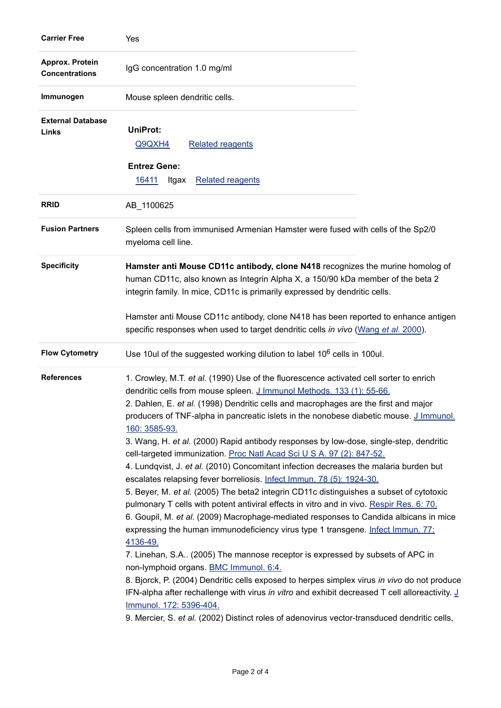| <b>Carrier Free</b>                      | Yes                                                                                                                                                                                                                                                                                                                                                                                                                                                                                                                                                                                                                                                                                                                                                                                                                                                                                                                                                                                                                                                                                                                                                                                                                                                                                                                                                                                                                                                                                                                                                        |
|------------------------------------------|------------------------------------------------------------------------------------------------------------------------------------------------------------------------------------------------------------------------------------------------------------------------------------------------------------------------------------------------------------------------------------------------------------------------------------------------------------------------------------------------------------------------------------------------------------------------------------------------------------------------------------------------------------------------------------------------------------------------------------------------------------------------------------------------------------------------------------------------------------------------------------------------------------------------------------------------------------------------------------------------------------------------------------------------------------------------------------------------------------------------------------------------------------------------------------------------------------------------------------------------------------------------------------------------------------------------------------------------------------------------------------------------------------------------------------------------------------------------------------------------------------------------------------------------------------|
| Approx. Protein<br><b>Concentrations</b> | IgG concentration 1.0 mg/ml                                                                                                                                                                                                                                                                                                                                                                                                                                                                                                                                                                                                                                                                                                                                                                                                                                                                                                                                                                                                                                                                                                                                                                                                                                                                                                                                                                                                                                                                                                                                |
| Immunogen                                | Mouse spleen dendritic cells.                                                                                                                                                                                                                                                                                                                                                                                                                                                                                                                                                                                                                                                                                                                                                                                                                                                                                                                                                                                                                                                                                                                                                                                                                                                                                                                                                                                                                                                                                                                              |
| <b>External Database</b><br>Links        | <b>UniProt:</b><br>Q9QXH4<br><b>Related reagents</b>                                                                                                                                                                                                                                                                                                                                                                                                                                                                                                                                                                                                                                                                                                                                                                                                                                                                                                                                                                                                                                                                                                                                                                                                                                                                                                                                                                                                                                                                                                       |
|                                          | <b>Entrez Gene:</b><br>16411<br><b>Related reagents</b><br>Itgax                                                                                                                                                                                                                                                                                                                                                                                                                                                                                                                                                                                                                                                                                                                                                                                                                                                                                                                                                                                                                                                                                                                                                                                                                                                                                                                                                                                                                                                                                           |
| <b>RRID</b>                              | AB_1100625                                                                                                                                                                                                                                                                                                                                                                                                                                                                                                                                                                                                                                                                                                                                                                                                                                                                                                                                                                                                                                                                                                                                                                                                                                                                                                                                                                                                                                                                                                                                                 |
| <b>Fusion Partners</b>                   | Spleen cells from immunised Armenian Hamster were fused with cells of the Sp2/0<br>myeloma cell line.                                                                                                                                                                                                                                                                                                                                                                                                                                                                                                                                                                                                                                                                                                                                                                                                                                                                                                                                                                                                                                                                                                                                                                                                                                                                                                                                                                                                                                                      |
| <b>Specificity</b>                       | Hamster anti Mouse CD11c antibody, clone N418 recognizes the murine homolog of<br>human CD11c, also known as Integrin Alpha X, a 150/90 kDa member of the beta 2<br>integrin family. In mice, CD11c is primarily expressed by dendritic cells.                                                                                                                                                                                                                                                                                                                                                                                                                                                                                                                                                                                                                                                                                                                                                                                                                                                                                                                                                                                                                                                                                                                                                                                                                                                                                                             |
|                                          | Hamster anti Mouse CD11c antibody, clone N418 has been reported to enhance antigen<br>specific responses when used to target dendritic cells in vivo (Wang et al. 2000).                                                                                                                                                                                                                                                                                                                                                                                                                                                                                                                                                                                                                                                                                                                                                                                                                                                                                                                                                                                                                                                                                                                                                                                                                                                                                                                                                                                   |
| <b>Flow Cytometry</b>                    | Use 10ul of the suggested working dilution to label 10 <sup>6</sup> cells in 100ul.                                                                                                                                                                                                                                                                                                                                                                                                                                                                                                                                                                                                                                                                                                                                                                                                                                                                                                                                                                                                                                                                                                                                                                                                                                                                                                                                                                                                                                                                        |
| <b>References</b>                        | 1. Crowley, M.T. et al. (1990) Use of the fluorescence activated cell sorter to enrich<br>dendritic cells from mouse spleen. J Immunol Methods. 133 (1): 55-66.<br>2. Dahlen, E. et al. (1998) Dendritic cells and macrophages are the first and major<br>producers of TNF-alpha in pancreatic islets in the nonobese diabetic mouse. J Immunol.<br>160: 3585-93.<br>3. Wang, H. et al. (2000) Rapid antibody responses by low-dose, single-step, dendritic<br>cell-targeted immunization. Proc Natl Acad Sci U S A. 97 (2): 847-52.<br>4. Lundqvist, J. et al. (2010) Concomitant infection decreases the malaria burden but<br>escalates relapsing fever borreliosis. Infect Immun. 78 (5): 1924-30.<br>5. Beyer, M. et al. (2005) The beta2 integrin CD11c distinguishes a subset of cytotoxic<br>pulmonary T cells with potent antiviral effects in vitro and in vivo. Respir Res. 6: 70.<br>6. Goupil, M. et al. (2009) Macrophage-mediated responses to Candida albicans in mice<br>expressing the human immunodeficiency virus type 1 transgene. Infect Immun. 77:<br>4136-49.<br>7. Linehan, S.A (2005) The mannose receptor is expressed by subsets of APC in<br>non-lymphoid organs. BMC Immunol. 6:4.<br>8. Bjorck, P. (2004) Dendritic cells exposed to herpes simplex virus in vivo do not produce<br>IFN-alpha after rechallenge with virus in vitro and exhibit decreased T cell alloreactivity. $\underline{J}$<br>Immunol. 172: 5396-404.<br>9. Mercier, S. et al. (2002) Distinct roles of adenovirus vector-transduced dendritic cells, |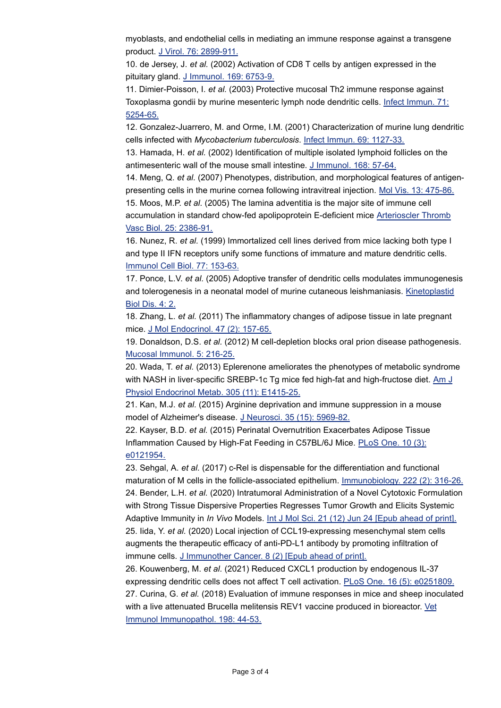myoblasts, and endothelial cells in mediating an immune response against a transgene product. [J Virol. 76: 2899-911.](http://www.ncbi.nlm.nih.gov/pubmed/11861857)

10. de Jersey, J. *et al.* (2002) Activation of CD8 T cells by antigen expressed in the pituitary gland. [J Immunol. 169: 6753-9.](http://www.ncbi.nlm.nih.gov/pubmed/12471106)

11. Dimier-Poisson, I. *et al.* (2003) Protective mucosal Th2 immune response against Toxoplasma gondii by murine mesenteric lymph node dendritic cells. [Infect Immun. 71:](http://www.ncbi.nlm.nih.gov/pubmed/12933872) 5254-65.

12. Gonzalez-Juarrero, M. and Orme, I.M. (2001) Characterization of murine lung dendritic cells infected with *Mycobacterium tuberculosis*. [Infect Immun. 69: 1127-33.](http://www.ncbi.nlm.nih.gov/pubmed/11160010)

13. Hamada, H. *et al.* (2002) Identification of multiple isolated lymphoid follicles on the antimesenteric wall of the mouse small intestine. [J Immunol. 168: 57-64.](http://www.ncbi.nlm.nih.gov/pubmed/11751946)

14. Meng, Q. *et al.* (2007) Phenotypes, distribution, and morphological features of antigenpresenting cells in the murine cornea following intravitreal injection. [Mol Vis. 13: 475-86.](http://www.ncbi.nlm.nih.gov/pubmed/17417608)

15. Moos, M.P. *et al.* (2005) The lamina adventitia is the major site of immune cell accumulation in standard chow-fed apolipoprotein E-deficient mice [Arterioscler Thromb](http://www.ncbi.nlm.nih.gov/pubmed/16179593) Vasc Biol. 25: 2386-91.

16. Nunez, R. *et al.* (1999) Immortalized cell lines derived from mice lacking both type I and type II IFN receptors unify some functions of immature and mature dendritic cells. [Immunol Cell Biol. 77: 153-63.](http://www.ncbi.nlm.nih.gov/pubmed/10234551)

17. Ponce, L.V. *et al.* (2005) Adoptive transfer of dendritic cells modulates immunogenesis and tolerogenesis in a neonatal model of murine cutaneous leishmaniasis. [Kinetoplastid](http://www.ncbi.nlm.nih.gov/pubmed/15670331) Biol Dis. 4: 2.

18. Zhang, L. *et al.* (2011) The inflammatory changes of adipose tissue in late pregnant mice. [J Mol Endocrinol. 47 \(2\): 157-65.](http://www.ncbi.nlm.nih.gov/pubmed/21697073)

19. Donaldson, D.S. *et al.* (2012) M cell-depletion blocks oral prion disease pathogenesis. [Mucosal Immunol. 5: 216-25.](http://www.ncbi.nlm.nih.gov/pubmed/22294048)

20. Wada, T. *et al.* (2013) Eplerenone ameliorates the phenotypes of metabolic syndrome with NASH in liver-specific SREBP-1c Tg mice fed high-fat and high-fructose diet.  $Am J$ Physiol Endocrinol Metab. 305 (11): E1415-25.

21. Kan, M.J. *et al.* (2015) Arginine deprivation and immune suppression in a mouse model of Alzheimer's disease. [J Neurosci. 35 \(15\): 5969-82.](http://www.ncbi.nlm.nih.gov/pubmed/25878270)

22. Kayser, B.D. *et al.* (2015) Perinatal Overnutrition Exacerbates Adipose Tissue Inflammation Caused by High-Fat Feeding in C57BL/6J Mice. [PLoS One. 10 \(3\):](http://www.ncbi.nlm.nih.gov/pubmed/25835281) e0121954.

23. Sehgal, A. *et al.* (2017) c-Rel is dispensable for the differentiation and functional maturation of M cells in the follicle-associated epithelium. [Immunobiology. 222 \(2\): 316-26.](http://www.ncbi.nlm.nih.gov/pubmed/27663963) 24. Bender, L.H. *et al.* (2020) Intratumoral Administration of a Novel Cytotoxic Formulation with Strong Tissue Dispersive Properties Regresses Tumor Growth and Elicits Systemic Adaptive Immunity in *In Vivo* Models. [Int J Mol Sci. 21 \(12\) Jun 24 \[Epub ahead of print\].](http://www.ncbi.nlm.nih.gov/pubmed/32599852) 25. Iida, Y. *et al.* (2020) Local injection of CCL19-expressing mesenchymal stem cells augments the therapeutic efficacy of anti-PD-L1 antibody by promoting infiltration of immune cells. [J Immunother Cancer. 8 \(2\) \[Epub ahead of print\].](http://www.ncbi.nlm.nih.gov/pubmed/32675195)

26. Kouwenberg, M. *et al.* (2021) Reduced CXCL1 production by endogenous IL-37 expressing dendritic cells does not affect T cell activation. [PLoS One. 16 \(5\): e0251809.](http://www.ncbi.nlm.nih.gov/pubmed/34029331) 27. Curina, G. *et al.* (2018) Evaluation of immune responses in mice and sheep inoculated with a live attenuated Brucella melitensis REV1 vaccine produced in bioreactor. [Vet](http://www.ncbi.nlm.nih.gov/pubmed/29571517) Immunol Immunopathol. 198: 44-53.